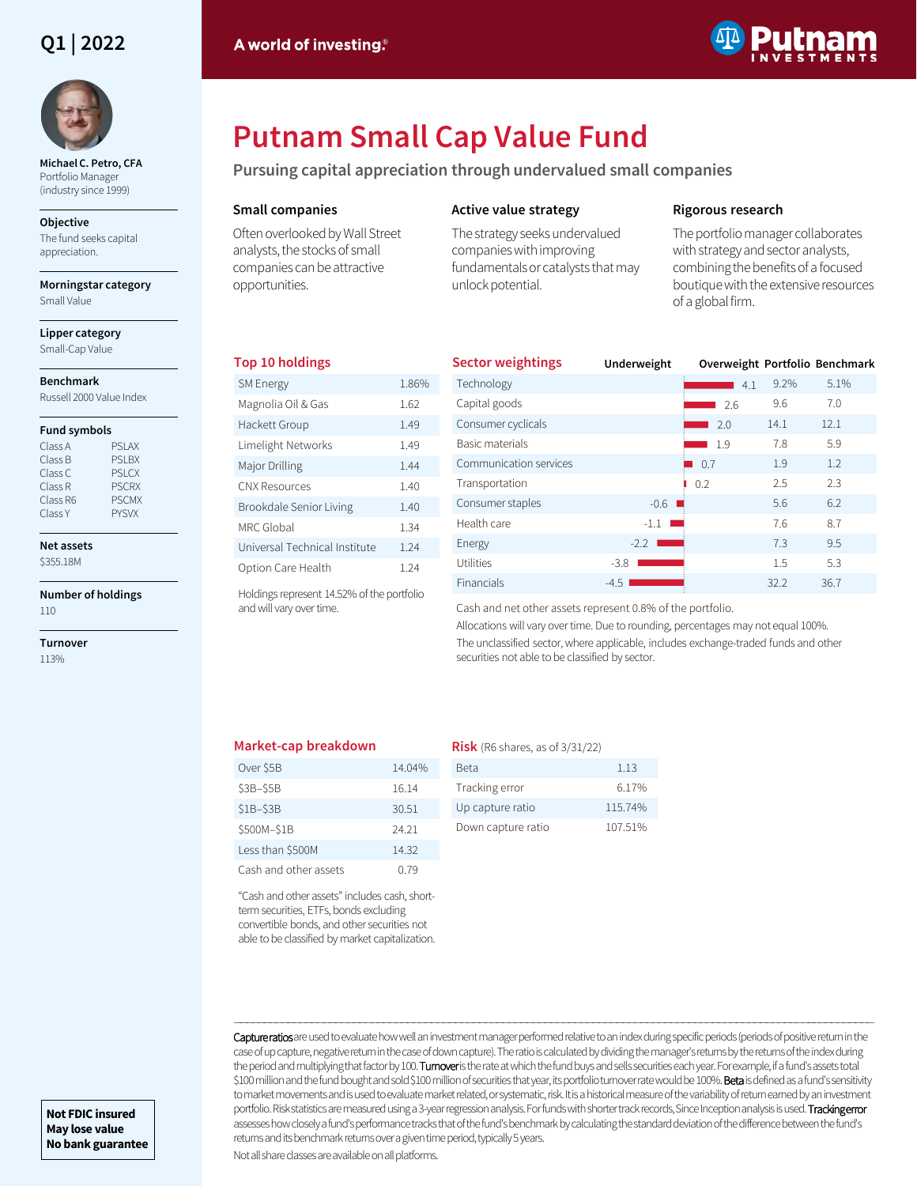## **Q1 | 2022**



**Michael C. Petro, CFA**  Portfolio Manager (industry since 1999)

#### **Objective**

The fund seeks capital appreciation.

**Morningstar category** Small Value

**Lipper category** Small-Cap Value

#### **Benchmark**

Russell 2000 Value Index

#### **Fund symbols**

| PSI AX        |
|---------------|
| <b>PSI BX</b> |
| <b>PSLCX</b>  |
| <b>PSCRX</b>  |
| <b>PSCMX</b>  |
| <b>PYSVX</b>  |
|               |

**Net assets** \$355.18M

# **Number of holdings**

110

**Turnover** 113%



# **Putnam Small Cap Value Fund**

**Pursuing capital appreciation through undervalued small companies**

#### **Small companies**

Often overlooked by Wall Street analysts, the stocks of small companies can be attractive opportunities.

### **Active value strategy**

The strategy seeks undervalued companies with improving fundamentals or catalysts that may unlock potential.

#### **Rigorous research**

The portfolio manager collaborates with strategy and sector analysts, combining the benefits of a focused boutique with the extensive resources of a global firm.

#### **Top 10 holdings**

| <b>SM Energy</b>              | 1.86% |
|-------------------------------|-------|
| Magnolia Oil & Gas            | 1.62  |
| Hackett Group                 | 1.49  |
| Limelight Networks            | 1.49  |
| Major Drilling                | 144   |
| <b>CNX Resources</b>          | 1.40  |
| Brookdale Senior Living       | 1.40  |
| MRC Global                    | 1.34  |
| Universal Technical Institute | 1 24  |
| Option Care Health            | 1 24  |

| <b>Sector weightings</b> | Underweight           | Overweight Portfolio Benchmark |      |      |
|--------------------------|-----------------------|--------------------------------|------|------|
| Technology               |                       | 4.1                            | 9.2% | 5.1% |
| Capital goods            |                       | 2.6                            | 9.6  | 7.0  |
| Consumer cyclicals       |                       | 2.0                            | 14.1 | 12.1 |
| Basic materials          |                       | 1.9                            | 7.8  | 5.9  |
| Communication services   |                       | 0.7                            | 1.9  | 1.2  |
| Transportation           |                       | 0.2                            | 2.5  | 2.3  |
| Consumer staples         | $-0.6$ $\blacksquare$ |                                | 5.6  | 6.2  |
| Health care              | $-1.1$                |                                | 7.6  | 8.7  |
| Energy                   | $-2.2$                |                                | 7.3  | 9.5  |
| Utilities                | $-3.8$                |                                | 1.5  | 5.3  |
| <b>Financials</b>        | $-4.5$                |                                | 32.2 | 36.7 |

Holdings represent 14.52% of the portfolio and will vary over time.

Cash and net other assets represent 0.8% of the portfolio.

Allocations will vary over time. Due to rounding, percentages may not equal 100%. The unclassified sector, where applicable, includes exchange-traded funds and other securities not able to be classified by sector.

#### **Market-cap breakdown**

| Over \$5B             | 14.04% |
|-----------------------|--------|
| \$3B-\$5B             | 16.14  |
| $S1B-SSB$             | 30.51  |
| \$500M-\$1B           | 24 21  |
| Less than \$500M      | 14.32  |
| Cash and other assets | በ 79   |

"Cash and other assets" includes cash, shortterm securities, ETFs, bonds excluding convertible bonds, and other securities not able to be classified by market capitalization.

| <b>Risk</b> (R6 shares, as of $3/31/22$ ) |         |
|-------------------------------------------|---------|
| Beta                                      | 1.13    |
| Tracking error                            | 6.17%   |
| Up capture ratio                          | 115.74% |
|                                           |         |

Down capture ratio 107.51%

Capture ratios are used to evaluate how well an investment manager performed relative to an index during specific periods (periods of positive return in the case of up capture, negative return in the case of down capture). The ratio is calculated by dividing the manager's returns by the returns of the index during the period and multiplying that factor by 100. Turnoveris the rate at which the fund buys and sells securities each year. For example, if a fund's assets total \$100 million and the fund bought and sold \$100 million of securities that year, its portfolio turnover rate would be 100%. Beta is defined as a fund's sensitivity to market movements and is used to evaluate market related, or systematic, risk. It is a historical measure of the variability of return earned by an investment portfolio. Risk statistics are measured using a 3-year regression analysis. For funds with shorter track records, Since Inception analysis is used. Tracking error assesses how closely a fund's performance tracks that of the fund's benchmark by calculating the standard deviation of the difference between the fund's returns and its benchmark returns over a given time period, typically 5 years.

―――――――――――――――――――――――――――――――――――――――――――――――――――――――――――――――――――――――――――――――――――――――――――――――――――――――――――

Not all share classes are available on all platforms.

**Not FDIC insured May lose value No bank guarantee**